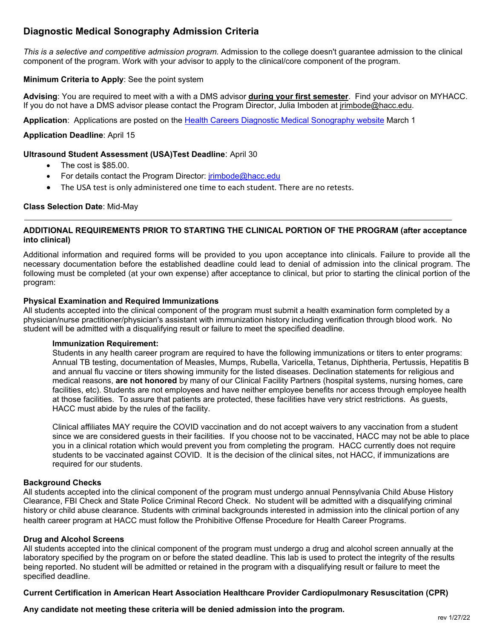# **Diagnostic Medical Sonography Admission Criteria**

*This is a selective and competitive admission program.* Admission to the college doesn't guarantee admission to the clinical component of the program. Work with your advisor to apply to the clinical/core component of the program.

#### **Minimum Criteria to Apply**: See the point system

**Advising**: You are required to meet with a with a DMS advisor **during your first semester**. Find your advisor on MYHACC. If you do not have a DMS advisor please contact the Program Director, Julia Imboden at [jrimbode@hacc.edu.](mailto:jrimbode@hacc.edu)

**Application**:Applications are posted on the [Health Careers Diagnostic Medical Sonography website](http://www.hacc.edu/ProgramsandCourses/Programs/HealthCareers/Diagnostic-Medical-Sonographer.cfm) March 1

#### **Application Deadline**: April 15

#### **Ultrasound Student Assessment (USA)Test Deadline**: April 30

- The cost is \$85.00.
- For details contact the Program Director: *jrimbode@hacc.edu*
- The USA test is only administered one time to each student. There are no retests.

#### **Class Selection Date**: Mid-May

#### **ADDITIONAL REQUIREMENTS PRIOR TO STARTING THE CLINICAL PORTION OF THE PROGRAM (after acceptance into clinical)**

Additional information and required forms will be provided to you upon acceptance into clinicals. Failure to provide all the necessary documentation before the established deadline could lead to denial of admission into the clinical program. The following must be completed (at your own expense) after acceptance to clinical, but prior to starting the clinical portion of the program:

#### **Physical Examination and Required Immunizations**

All students accepted into the clinical component of the program must submit a health examination form completed by a physician/nurse practitioner/physician's assistant with immunization history including verification through blood work. No student will be admitted with a disqualifying result or failure to meet the specified deadline.

#### **Immunization Requirement:**

Students in any health career program are required to have the following immunizations or titers to enter programs: Annual TB testing, documentation of Measles, Mumps, Rubella, Varicella, Tetanus, Diphtheria, Pertussis, Hepatitis B and annual flu vaccine or titers showing immunity for the listed diseases. Declination statements for religious and medical reasons, **are not honored** by many of our Clinical Facility Partners (hospital systems, nursing homes, care facilities, etc). Students are not employees and have neither employee benefits nor access through employee health at those facilities. To assure that patients are protected, these facilities have very strict restrictions. As guests, HACC must abide by the rules of the facility.

Clinical affiliates MAY require the COVID vaccination and do not accept waivers to any vaccination from a student since we are considered guests in their facilities. If you choose not to be vaccinated, HACC may not be able to place you in a clinical rotation which would prevent you from completing the program. HACC currently does not require students to be vaccinated against COVID. It is the decision of the clinical sites, not HACC, if immunizations are required for our students.

#### **Background Checks**

All students accepted into the clinical component of the program must undergo annual Pennsylvania Child Abuse History Clearance, FBI Check and State Police Criminal Record Check. No student will be admitted with a disqualifying criminal history or child abuse clearance. Students with criminal backgrounds interested in admission into the clinical portion of any health career program at HACC must follow the Prohibitive Offense Procedure for Health Career Programs.

#### **Drug and Alcohol Screens**

All students accepted into the clinical component of the program must undergo a drug and alcohol screen annually at the laboratory specified by the program on or before the stated deadline. This lab is used to protect the integrity of the results being reported. No student will be admitted or retained in the program with a disqualifying result or failure to meet the specified deadline.

#### **Current Certification in American Heart Association Healthcare Provider Cardiopulmonary Resuscitation (CPR)**

**Any candidate not meeting these criteria will be denied admission into the program.**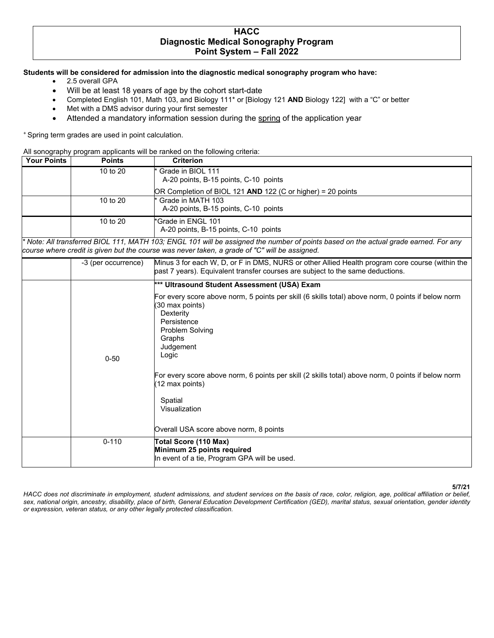### **HACC Diagnostic Medical Sonography Program Point System – Fall 2022**

#### **Students will be considered for admission into the diagnostic medical sonography program who have:**

- 2.5 overall GPA
- Will be at least 18 years of age by the cohort start-date
- Completed English 101, Math 103, and Biology 111\* or [Biology 121 **AND** Biology 122] with a "C" or better
- Met with a DMS advisor during your first semester
- Attended a mandatory information session during the spring of the application year

+ Spring term grades are used in point calculation.

All sonography program applicants will be ranked on the following criteria:

| <b>Your Points</b> | <b>Points</b> | <b>Criterion</b>                                            |
|--------------------|---------------|-------------------------------------------------------------|
|                    | 10 to $20$    | * Grade in BIOL 111                                         |
|                    |               | A-20 points, B-15 points, C-10 points                       |
|                    |               | OR Completion of BIOL 121 AND 122 (C or higher) = 20 points |
|                    | 10 to $201$   | <sup>*</sup> Grade in MATH 103                              |
|                    |               | A-20 points, B-15 points, C-10 points                       |
|                    | 10 to 20      | *Grade in ENGL 101                                          |
|                    |               | A-20 points, B-15 points, C-10 points                       |

*\* Note: All transferred BIOL 111, MATH 103; ENGL 101 will be assigned the number of points based on the actual grade earned. For any course where credit is given but the course was never taken, a grade of "C" will be assigned.* 

| -3 (per occurrence) | Minus 3 for each W, D, or F in DMS, NURS or other Allied Health program core course (within the<br>past 7 years). Equivalent transfer courses are subject to the same deductions.                                                                                                                                                                                                                                                                          |
|---------------------|------------------------------------------------------------------------------------------------------------------------------------------------------------------------------------------------------------------------------------------------------------------------------------------------------------------------------------------------------------------------------------------------------------------------------------------------------------|
| $0 - 50$            | *** Ultrasound Student Assessment (USA) Exam<br>For every score above norm, 5 points per skill (6 skills total) above norm, 0 points if below norm<br>(30 max points)<br>Dexterity<br>Persistence<br><b>Problem Solving</b><br>Graphs<br>Judgement<br>Logic<br>For every score above norm, 6 points per skill (2 skills total) above norm, 0 points if below norm<br>(12 max points)<br>Spatial<br>Visualization<br>Overall USA score above norm, 8 points |
| $0 - 110$           | Total Score (110 Max)<br>Minimum 25 points required<br>In event of a tie, Program GPA will be used.                                                                                                                                                                                                                                                                                                                                                        |

#### **5/7/21**

*HACC does not discriminate in employment, student admissions, and student services on the basis of race, color, religion, age, political affiliation or belief, sex, national origin, ancestry, disability, place of birth, General Education Development Certification (GED), marital status, sexual orientation, gender identity or expression, veteran status, or any other legally protected classification.*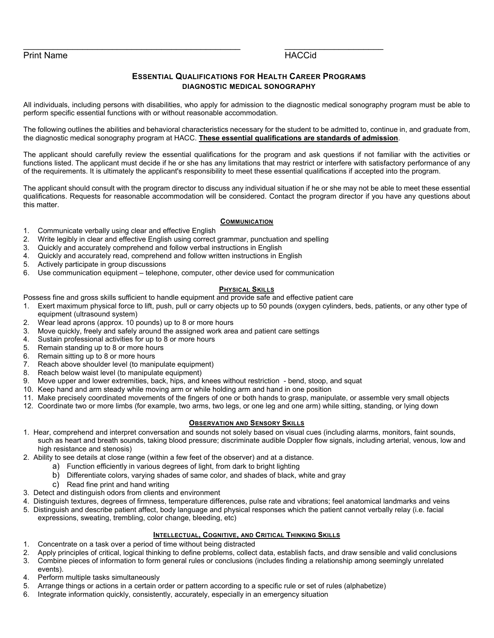#### \_\_\_\_\_\_\_\_\_\_\_\_\_\_\_\_\_\_\_\_\_\_\_\_\_\_\_\_\_\_\_\_\_\_\_\_\_\_\_\_\_\_\_\_ \_\_\_\_\_\_\_\_\_\_\_\_\_\_\_\_\_\_\_\_ Print Name HACCid

#### **ESSENTIAL QUALIFICATIONS FOR HEALTH CAREER PROGRAMS DIAGNOSTIC MEDICAL SONOGRAPHY**

All individuals, including persons with disabilities, who apply for admission to the diagnostic medical sonography program must be able to perform specific essential functions with or without reasonable accommodation.

The following outlines the abilities and behavioral characteristics necessary for the student to be admitted to, continue in, and graduate from, the diagnostic medical sonography program at HACC. **These essential qualifications are standards of admission**.

The applicant should carefully review the essential qualifications for the program and ask questions if not familiar with the activities or functions listed. The applicant must decide if he or she has any limitations that may restrict or interfere with satisfactory performance of any of the requirements. It is ultimately the applicant's responsibility to meet these essential qualifications if accepted into the program.

The applicant should consult with the program director to discuss any individual situation if he or she may not be able to meet these essential qualifications. Requests for reasonable accommodation will be considered. Contact the program director if you have any questions about this matter.

#### **COMMUNICATION**

- 1. Communicate verbally using clear and effective English
- 2. Write legibly in clear and effective English using correct grammar, punctuation and spelling
- 3. Quickly and accurately comprehend and follow verbal instructions in English
- 4. Quickly and accurately read, comprehend and follow written instructions in English
- 5. Actively participate in group discussions
- 6. Use communication equipment telephone, computer, other device used for communication

#### **PHYSICAL SKILLS**

Possess fine and gross skills sufficient to handle equipment and provide safe and effective patient care

- 1. Exert maximum physical force to lift, push, pull or carry objects up to 50 pounds (oxygen cylinders, beds, patients, or any other type of equipment (ultrasound system)
- 2. Wear lead aprons (approx. 10 pounds) up to 8 or more hours
- 3. Move quickly, freely and safely around the assigned work area and patient care settings
- 4. Sustain professional activities for up to 8 or more hours
- 5. Remain standing up to 8 or more hours
- 6. Remain sitting up to 8 or more hours
- 7. Reach above shoulder level (to manipulate equipment)
- 8. Reach below waist level (to manipulate equipment)
- 9. Move upper and lower extremities, back, hips, and knees without restriction bend, stoop, and squat
- 10. Keep hand and arm steady while moving arm or while holding arm and hand in one position
- 11. Make precisely coordinated movements of the fingers of one or both hands to grasp, manipulate, or assemble very small objects
- 12. Coordinate two or more limbs (for example, two arms, two legs, or one leg and one arm) while sitting, standing, or lying down

#### **OBSERVATION AND SENSORY SKILLS**

- 1. Hear, comprehend and interpret conversation and sounds not solely based on visual cues (including alarms, monitors, faint sounds, such as heart and breath sounds, taking blood pressure; discriminate audible Doppler flow signals, including arterial, venous, low and high resistance and stenosis)
- 2. Ability to see details at close range (within a few feet of the observer) and at a distance.
	- a) Function efficiently in various degrees of light, from dark to bright lighting
	- b) Differentiate colors, varying shades of same color, and shades of black, white and gray
		- c) Read fine print and hand writing
- 3. Detect and distinguish odors from clients and environment
- 4. Distinguish textures, degrees of firmness, temperature differences, pulse rate and vibrations; feel anatomical landmarks and veins
- 5. Distinguish and describe patient affect, body language and physical responses which the patient cannot verbally relay (i.e. facial expressions, sweating, trembling, color change, bleeding, etc)

#### **INTELLECTUAL, COGNITIVE, AND CRITICAL THINKING SKILLS**

- 1. Concentrate on a task over a period of time without being distracted
- 2. Apply principles of critical, logical thinking to define problems, collect data, establish facts, and draw sensible and valid conclusions 3. Combine pieces of information to form general rules or conclusions (includes finding a relationship among seemingly unrelated events).
- 4. Perform multiple tasks simultaneously
- 5. Arrange things or actions in a certain order or pattern according to a specific rule or set of rules (alphabetize)
- 6. Integrate information quickly, consistently, accurately, especially in an emergency situation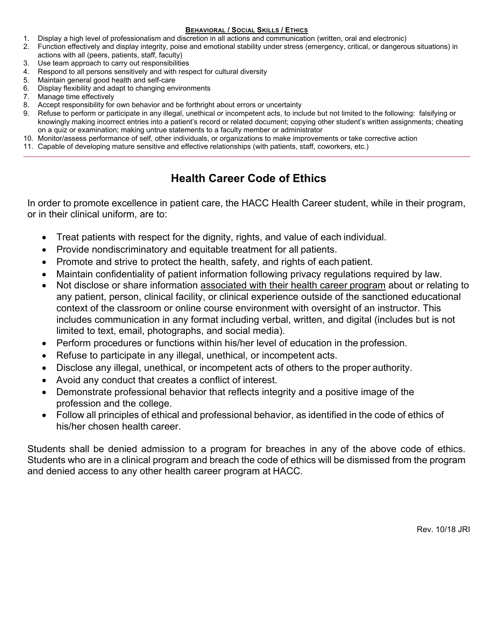#### **BEHAVIORAL / SOCIAL SKILLS / ETHICS**

- 1. Display a high level of professionalism and discretion in all actions and communication (written, oral and electronic)
- 2. Function effectively and display integrity, poise and emotional stability under stress (emergency, critical, or dangerous situations) in actions with all (peers, patients, staff, faculty)
- 3. Use team approach to carry out responsibilities
- 4. Respond to all persons sensitively and with respect for cultural diversity
- 5. Maintain general good health and self-care
- 6. Display flexibility and adapt to changing environments
- 7. Manage time effectively
- 8. Accept responsibility for own behavior and be forthright about errors or uncertainty
- 9. Refuse to perform or participate in any illegal, unethical or incompetent acts, to include but not limited to the following: falsifying or knowingly making incorrect entries into a patient's record or related document; copying other student's written assignments; cheating on a quiz or examination; making untrue statements to a faculty member or administrator
- 10. Monitor/assess performance of self, other individuals, or organizations to make improvements or take corrective action
- 11. Capable of developing mature sensitive and effective relationships (with patients, staff, coworkers, etc.)

# **Health Career Code of Ethics**

In order to promote excellence in patient care, the HACC Health Career student, while in their program, or in their clinical uniform, are to:

- Treat patients with respect for the dignity, rights, and value of each individual.
- Provide nondiscriminatory and equitable treatment for all patients.
- Promote and strive to protect the health, safety, and rights of each patient.
- Maintain confidentiality of patient information following privacy regulations required by law.
- Not disclose or share information associated with their health career program about or relating to any patient, person, clinical facility, or clinical experience outside of the sanctioned educational context of the classroom or online course environment with oversight of an instructor. This includes communication in any format including verbal, written, and digital (includes but is not limited to text, email, photographs, and social media).
- Perform procedures or functions within his/her level of education in the profession.
- Refuse to participate in any illegal, unethical, or incompetent acts.
- Disclose any illegal, unethical, or incompetent acts of others to the proper authority.
- Avoid any conduct that creates a conflict of interest.
- Demonstrate professional behavior that reflects integrity and a positive image of the profession and the college.
- Follow all principles of ethical and professional behavior, as identified in the code of ethics of his/her chosen health career.

Students shall be denied admission to a program for breaches in any of the above code of ethics. Students who are in a clinical program and breach the code of ethics will be dismissed from the program and denied access to any other health career program at HACC.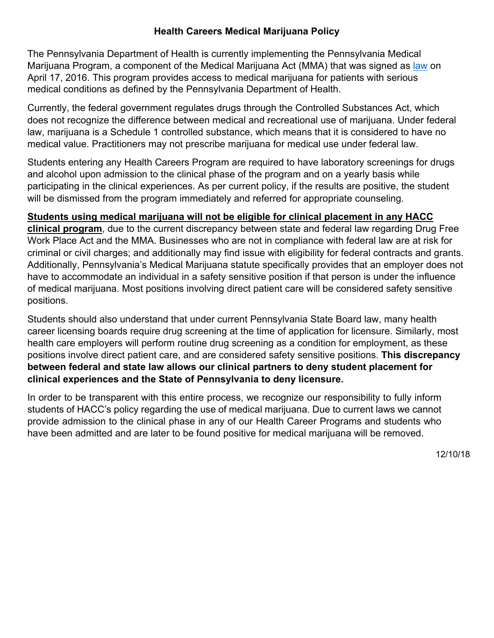# **Health Careers Medical Marijuana Policy**

The Pennsylvania Department of Health is currently implementing the Pennsylvania Medical Marijuana Program, a component of the Medical Marijuana Act (MMA) that was signed as [law](https://www.legis.state.pa.us/cfdocs/legis/li/uconsCheck.cfm?yr=2016&sessInd=0&act=16) on April 17, 2016. This program provides access to medical marijuana for patients with serious medical conditions as defined by the Pennsylvania Department of Health.

Currently, the federal government regulates drugs through the Controlled Substances Act, which does not recognize the difference between medical and recreational use of marijuana. Under federal law, marijuana is a Schedule 1 controlled substance, which means that it is considered to have no medical value. Practitioners may not prescribe marijuana for medical use under federal law.

Students entering any Health Careers Program are required to have laboratory screenings for drugs and alcohol upon admission to the clinical phase of the program and on a yearly basis while participating in the clinical experiences. As per current policy, if the results are positive, the student will be dismissed from the program immediately and referred for appropriate counseling.

# **Students using medical marijuana will not be eligible for clinical placement in any HACC**

**clinical program**, due to the current discrepancy between state and federal law regarding Drug Free Work Place Act and the MMA. Businesses who are not in compliance with federal law are at risk for criminal or civil charges; and additionally may find issue with eligibility for federal contracts and grants. Additionally, Pennsylvania's Medical Marijuana statute specifically provides that an employer does not have to accommodate an individual in a safety sensitive position if that person is under the influence of medical marijuana. Most positions involving direct patient care will be considered safety sensitive positions.

Students should also understand that under current Pennsylvania State Board law, many health career licensing boards require drug screening at the time of application for licensure. Similarly, most health care employers will perform routine drug screening as a condition for employment, as these positions involve direct patient care, and are considered safety sensitive positions. **This discrepancy between federal and state law allows our clinical partners to deny student placement for clinical experiences and the State of Pennsylvania to deny licensure.**

In order to be transparent with this entire process, we recognize our responsibility to fully inform students of HACC's policy regarding the use of medical marijuana. Due to current laws we cannot provide admission to the clinical phase in any of our Health Career Programs and students who have been admitted and are later to be found positive for medical marijuana will be removed.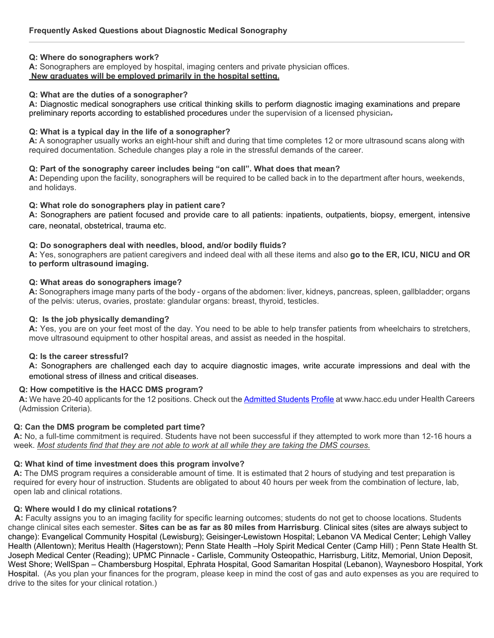#### **Q: Where do sonographers work?**

**A:** Sonographers are employed by hospital, imaging centers and private physician offices.

#### **New graduates will be employed primarily in the hospital setting.**

#### **Q: What are the duties of a sonographer?**

**A:** Diagnostic medical sonographers use critical thinking skills to perform diagnostic imaging examinations and prepare preliminary reports according to established procedures under the supervision of a licensed physician.

#### **Q: What is a typical day in the life of a sonographer?**

**A:** A sonographer usually works an eight-hour shift and during that time completes 12 or more ultrasound scans along with required documentation. Schedule changes play a role in the stressful demands of the career.

#### **Q: Part of the sonography career includes being "on call". What does that mean?**

**A:** Depending upon the facility, sonographers will be required to be called back in to the department after hours, weekends, and holidays.

#### **Q: What role do sonographers play in patient care?**

**A:** Sonographers are patient focused and provide care to all patients: inpatients, outpatients, biopsy, emergent, intensive care, neonatal, obstetrical, trauma etc.

#### **Q: Do sonographers deal with needles, blood, and/or bodily fluids?**

**A:** Yes, sonographers are patient caregivers and indeed deal with all these items and also **go to the ER, ICU, NICU and OR to perform ultrasound imaging.**

#### **Q: What areas do sonographers image?**

**A:** Sonographers image many parts of the body - organs of the abdomen: liver, kidneys, pancreas, spleen, gallbladder; organs of the pelvis: uterus, ovaries, prostate: glandular organs: breast, thyroid, testicles.

#### **Q: Is the job physically demanding?**

**A:** Yes, you are on your feet most of the day. You need to be able to help transfer patients from wheelchairs to stretchers, move ultrasound equipment to other hospital areas, and assist as needed in the hospital.

#### **Q: Is the career stressful?**

**A:** Sonographers are challenged each day to acquire diagnostic images, write accurate impressions and deal with the emotional stress of illness and critical diseases.

#### **Q: How competitive is the HACC DMS program?**

**A:** We have 20-40 applicants for the 12 positions. Check out th[e Admitted Students](http://www.hacc.edu/NewStudents/Apply/HowtoApplyandRegister/upload/Profile.pdf) [Profile](http://www.hacc.edu/NewStudents/Apply/HowtoApplyandRegister/upload/Profile.pdf) at [www.hacc.edu](http://www.hacc.edu/) under Health Careers (Admission Criteria).

#### **Q: Can the DMS program be completed part time?**

**A:** No, a full-time commitment is required. Students have not been successful if they attempted to work more than 12-16 hours a week. *Most students find that they are not able to work at all while they are taking the DMS courses.*

#### **Q: What kind of time investment does this program involve?**

**A:** The DMS program requires a considerable amount of time. It is estimated that 2 hours of studying and test preparation is required for every hour of instruction. Students are obligated to about 40 hours per week from the combination of lecture, lab, open lab and clinical rotations.

#### **Q: Where would I do my clinical rotations?**

 **A:** Faculty assigns you to an imaging facility for specific learning outcomes; students do not get to choose locations. Students change clinical sites each semester. **Sites can be as far as 80 miles from Harrisburg**. Clinical sites (sites are always subject to change): Evangelical Community Hospital (Lewisburg); Geisinger-Lewistown Hospital; Lebanon VA Medical Center; Lehigh Valley Health (Allentown); Meritus Health (Hagerstown); Penn State Health –Holy Spirit Medical Center (Camp Hill) ; Penn State Health St. Joseph Medical Center (Reading); UPMC Pinnacle - Carlisle, Community Osteopathic, Harrisburg, Lititz, Memorial, Union Deposit, West Shore; WellSpan – Chambersburg Hospital, Ephrata Hospital, Good Samaritan Hospital (Lebanon), Waynesboro Hospital, York Hospital. (As you plan your finances for the program, please keep in mind the cost of gas and auto expenses as you are required to drive to the sites for your clinical rotation.)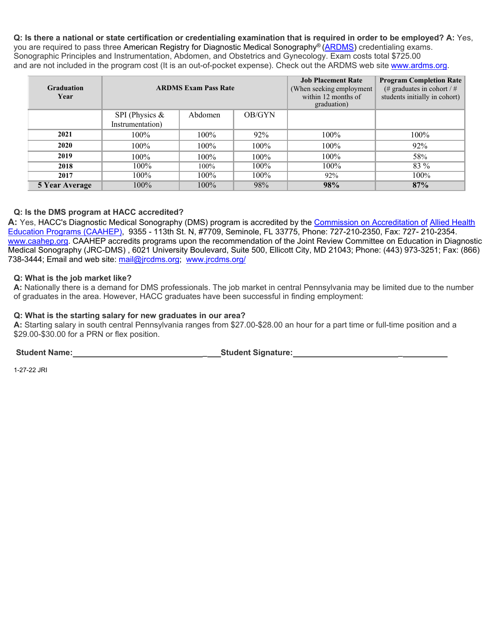**Q: Is there a national or state certification or credentialing examination that is required in order to be employed? A:** Yes, you are required to pass three American Registry for Diagnostic Medical Sonography® [\(ARDMS\)](http://www.ardms.org/) credentialing exams. Sonographic Principles and Instrumentation, Abdomen, and Obstetrics and Gynecology. Exam costs total \$725.00 and are not included in the program cost (It is an out-of-pocket expense). Check out the ARDMS web site [www.ardms.org.](http://www.ardms.org/)

| Graduation<br>Year    | <b>ARDMS Exam Pass Rate</b>          |         |         | <b>Job Placement Rate</b><br>(When seeking employment<br>within 12 months of<br>graduation) | <b>Program Completion Rate</b><br>(# graduates in cohort / #<br>students initially in cohort) |
|-----------------------|--------------------------------------|---------|---------|---------------------------------------------------------------------------------------------|-----------------------------------------------------------------------------------------------|
|                       | SPI (Physics $&$<br>Instrumentation) | Abdomen | OB/GYN  |                                                                                             |                                                                                               |
| 2021                  | $100\%$                              | 100%    | 92%     | 100%                                                                                        | $100\%$                                                                                       |
| 2020                  | $100\%$                              | 100%    | $100\%$ | 100%                                                                                        | 92%                                                                                           |
| 2019                  | $100\%$                              | 100%    | $100\%$ | 100%                                                                                        | 58%                                                                                           |
| 2018                  | 100%                                 | 100%    | $100\%$ | $100\%$                                                                                     | 83 %                                                                                          |
| 2017                  | 100%                                 | $100\%$ | $100\%$ | 92%                                                                                         | 100%                                                                                          |
| <b>5 Year Average</b> | $100\%$                              | $100\%$ | 98%     | 98%                                                                                         | 87%                                                                                           |

### **Q: Is the DMS program at HACC accredited?**

**A:** Yes, HACC's Diagnostic Medical Sonography (DMS) program is accredited by the [Commission on Accreditation of](http://caahep.org/) [Allied Health](http://caahep.org/)  [Education Programs \(CAAHEP\),](http://caahep.org/) 9355 - 113th St. N, #7709, Seminole, FL 33775, Phone: 727-210-2350, Fax: 727- 210-2354. [www.caahep.org.](http://www.caahep.org/) CAAHEP accredits programs upon the recommendation of the Joint Review Committee on Education in Diagnostic Medical Sonography (JRC-DMS) , 6021 University Boulevard, Suite 500, Ellicott City, MD 21043; Phone: (443) 973-3251; Fax: (866) 738-3444; Email and web site: [mail@jrcdms.org;](mailto:mail@jrcdms.org) [www.jrcdms.org/](http://www.jrcdms.org/)

#### **Q: What is the job market like?**

**A:** Nationally there is a demand for DMS professionals. The job market in central Pennsylvania may be limited due to the number of graduates in the area. However, HACC graduates have been successful in finding employment:

#### **Q: What is the starting salary for new graduates in our area?**

**A:** Starting salary in south central Pennsylvania ranges from \$27.00-\$28.00 an hour for a part time or full-time position and a \$29.00-\$30.00 for a PRN or flex position.

**Student Name: \_ Student Signature: \_**

1-27-22 JRI